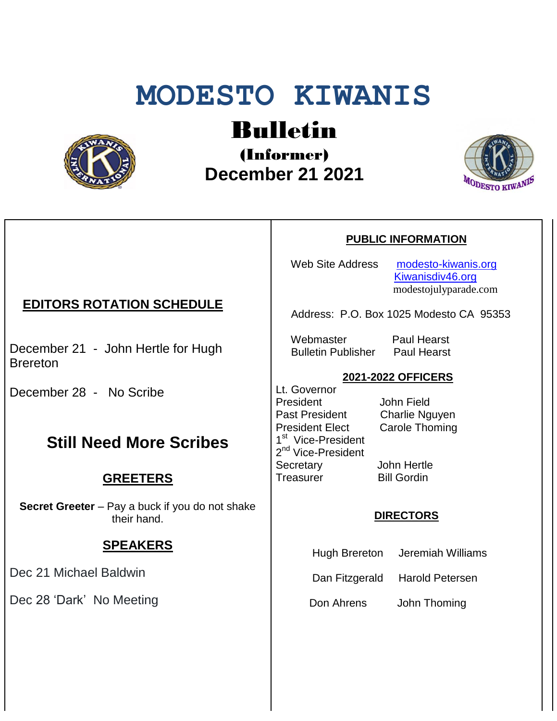# **MODESTO KIWANIS**



# Bulletin

(Informer)  **December 21 2021**



#### **PUBLIC INFORMATION**

Web Site Address [modesto-kiwanis.org](http://modesto-kiwanis.org/) [Kiwanisdiv46.org](http://www.kiwanisdiv46.org/) modestojulyparade.com

Address: P.O. Box 1025 Modesto CA 95353

 Webmaster Paul Hearst Bulletin Publisher Paul Hearst

#### **2021-2022 OFFICERS**

Lt. Governor President John Field Past President Charlie Nguyen President Elect Carole Thoming 1<sup>st</sup> Vice-President 2<sup>nd</sup> Vice-President Secretary John Hertle Treasurer Bill Gordin

#### **DIRECTORS**

- Hugh Brereton Jeremiah Williams
- Dan Fitzgerald Harold Petersen

Don Ahrens John Thoming

### **EDITORS ROTATION SCHEDULE**

December 21 - John Hertle for Hugh **Brereton** 

December 28 - No Scribe

# **Still Need More Scribes**

#### **GREETERS**

**Secret Greeter** – Pay a buck if you do not shake their hand.

# **SPEAKERS**

Dec 21 Michael Baldwin

Dec 28 'Dark' No Meeting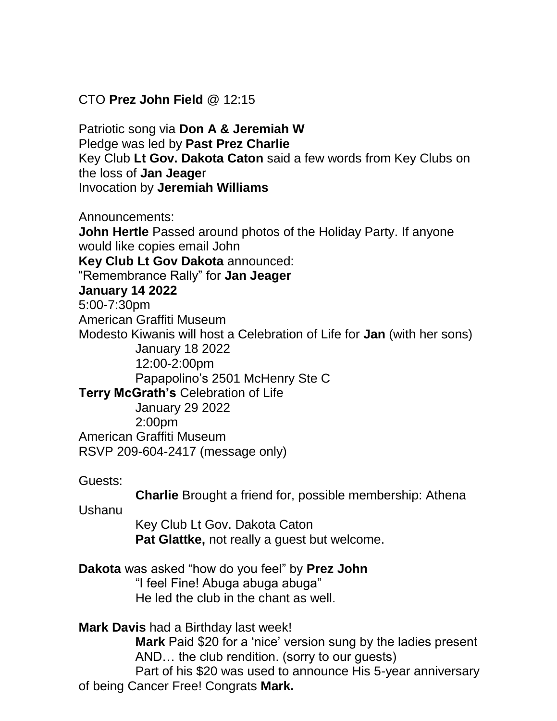CTO **Prez John Field** @ 12:15

Patriotic song via **Don A & Jeremiah W** Pledge was led by **Past Prez Charlie** Key Club **Lt Gov. Dakota Caton** said a few words from Key Clubs on the loss of **Jan Jeage**r Invocation by **Jeremiah Williams**

Announcements:

**John Hertle** Passed around photos of the Holiday Party. If anyone would like copies email John **Key Club Lt Gov Dakota** announced: "Remembrance Rally" for **Jan Jeager January 14 2022** 5:00-7:30pm American Graffiti Museum Modesto Kiwanis will host a Celebration of Life for **Jan** (with her sons) January 18 2022 12:00-2:00pm Papapolino's 2501 McHenry Ste C **Terry McGrath's** Celebration of Life January 29 2022 2:00pm American Graffiti Museum RSVP 209-604-2417 (message only)

Guests:

**Charlie** Brought a friend for, possible membership: Athena

Ushanu

 Key Club Lt Gov. Dakota Caton **Pat Glattke,** not really a guest but welcome.

**Dakota** was asked "how do you feel" by **Prez John**

 "I feel Fine! Abuga abuga abuga" He led the club in the chant as well.

**Mark Davis** had a Birthday last week!

 **Mark** Paid \$20 for a 'nice' version sung by the ladies present AND… the club rendition. (sorry to our guests)

 Part of his \$20 was used to announce His 5-year anniversary of being Cancer Free! Congrats **Mark.**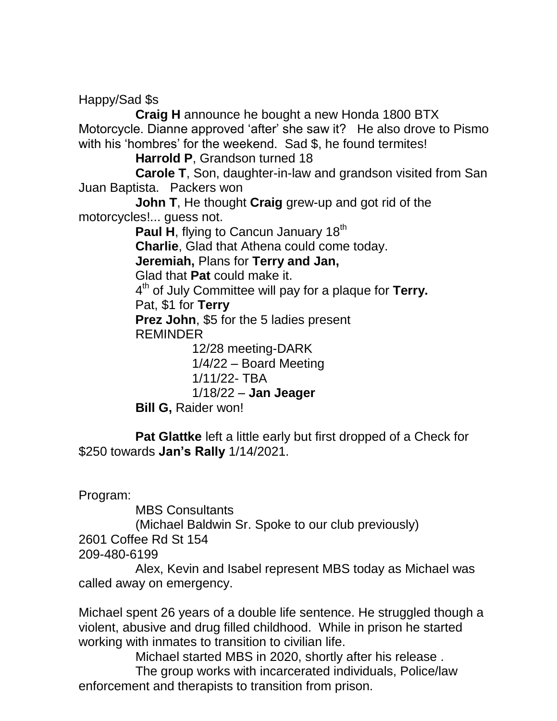Happy/Sad \$s

 **Craig H** announce he bought a new Honda 1800 BTX Motorcycle. Dianne approved 'after' she saw it? He also drove to Pismo with his 'hombres' for the weekend. Sad \$, he found termites!

**Harrold P**, Grandson turned 18

 **Carole T**, Son, daughter-in-law and grandson visited from San Juan Baptista. Packers won

 **John T**, He thought **Craig** grew-up and got rid of the motorcycles!... guess not.

Paul H, flying to Cancun January 18<sup>th</sup>

**Charlie**, Glad that Athena could come today.

**Jeremiah,** Plans for **Terry and Jan,**

Glad that **Pat** could make it.

4 th of July Committee will pay for a plaque for **Terry.**

Pat, \$1 for **Terry**

 **Prez John**, \$5 for the 5 ladies present REMINDER

12/28 meeting-DARK

 1/4/22 – Board Meeting 1/11/22- TBA 1/18/22 – **Jan Jeager**

**Bill G,** Raider won!

 **Pat Glattke** left a little early but first dropped of a Check for \$250 towards **Jan's Rally** 1/14/2021.

Program:

 MBS Consultants (Michael Baldwin Sr. Spoke to our club previously) 2601 Coffee Rd St 154

209-480-6199

 Alex, Kevin and Isabel represent MBS today as Michael was called away on emergency.

Michael spent 26 years of a double life sentence. He struggled though a violent, abusive and drug filled childhood. While in prison he started working with inmates to transition to civilian life.

Michael started MBS in 2020, shortly after his release .

 The group works with incarcerated individuals, Police/law enforcement and therapists to transition from prison.